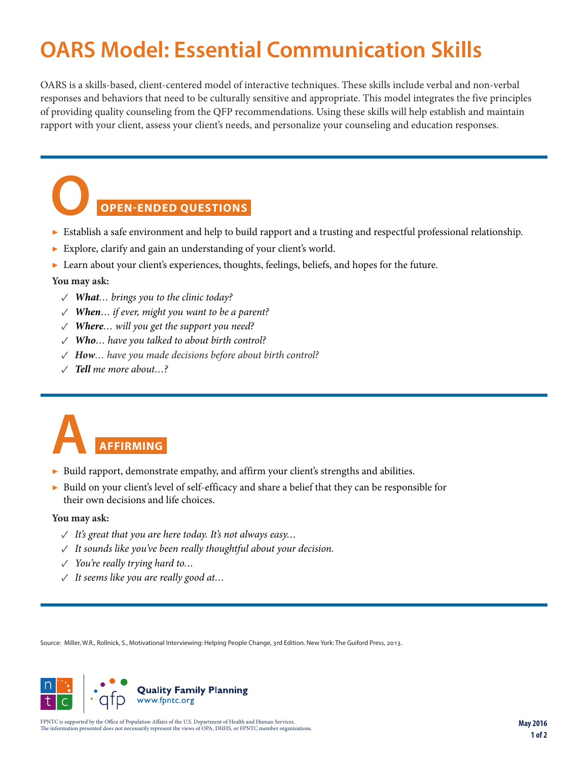### **OARS Model: Essential Communication Skills**

OARS is a skills-based, client-centered model of interactive techniques. These skills include verbal and non-verbal responses and behaviors that need to be culturally sensitive and appropriate. This model integrates the five principles of providing quality counseling from the QFP recommendations. Using these skills will help establish and maintain rapport with your client, assess your client's needs, and personalize your counseling and education responses.

### **OPEN-ENDED QUESTIONS**

- ▶ Establish a safe environment and help to build rapport and a trusting and respectful professional relationship. **O**
- ▶ Explore, clarify and gain an understanding of your client's world.
- ▶ Learn about your client's experiences, thoughts, feelings, beliefs, and hopes for the future.

#### **You may ask:**

- *✓ What… brings you to the clinic today?*
- *✓ When… if ever, might you want to be a parent?*
- *✓ Where… will you get the support you need?*
- *✓ Who… have you talked to about birth control?*
- *✓ How… have you made decisions before about birth control?*
- *✓ Tell me more about…?*



- ▶ Build rapport, demonstrate empathy, and affirm your client's strengths and abilities.
- ▶ Build on your client's level of self-efficacy and share a belief that they can be responsible for their own decisions and life choices.

#### **You may ask:**

- *✓ It's great that you are here today. It's not always easy…*
- *✓ It sounds like you've been really thoughtful about your decision.*
- *✓ You're really trying hard to…*
- *✓ It seems like you are really good at…*

Source: Miller, W.R., Rollnick, S., Motivational Interviewing: Helping People Change, 3rd Edition. New York: The Guiford Press, 2013.